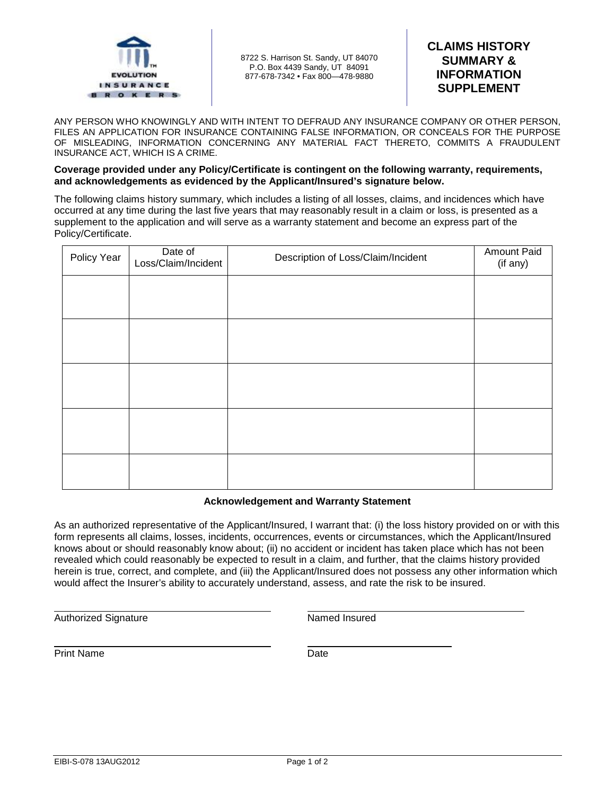

8722 S. Harrison St. Sandy, UT 84070 P.O. Box 4439 Sandy, UT 84091 877-678-7342 • Fax 800—478-9880

# **CLAIMS HISTORY SUMMARY & INFORMATION SUPPLEMENT**

ANY PERSON WHO KNOWINGLY AND WITH INTENT TO DEFRAUD ANY INSURANCE COMPANY OR OTHER PERSON, FILES AN APPLICATION FOR INSURANCE CONTAINING FALSE INFORMATION, OR CONCEALS FOR THE PURPOSE OF MISLEADING, INFORMATION CONCERNING ANY MATERIAL FACT THERETO, COMMITS A FRAUDULENT INSURANCE ACT, WHICH IS A CRIME.

#### **Coverage provided under any Policy/Certificate is contingent on the following warranty, requirements, and acknowledgements as evidenced by the Applicant/Insured's signature below.**

The following claims history summary, which includes a listing of all losses, claims, and incidences which have occurred at any time during the last five years that may reasonably result in a claim or loss, is presented as a supplement to the application and will serve as a warranty statement and become an express part of the Policy/Certificate.

| Policy Year | Date of<br>Loss/Claim/Incident | Description of Loss/Claim/Incident | Amount Paid<br>(if any) |
|-------------|--------------------------------|------------------------------------|-------------------------|
|             |                                |                                    |                         |
|             |                                |                                    |                         |
|             |                                |                                    |                         |
|             |                                |                                    |                         |
|             |                                |                                    |                         |

# **Acknowledgement and Warranty Statement**

As an authorized representative of the Applicant/Insured, I warrant that: (i) the loss history provided on or with this form represents all claims, losses, incidents, occurrences, events or circumstances, which the Applicant/Insured knows about or should reasonably know about; (ii) no accident or incident has taken place which has not been revealed which could reasonably be expected to result in a claim, and further, that the claims history provided herein is true, correct, and complete, and (iii) the Applicant/Insured does not possess any other information which would affect the Insurer's ability to accurately understand, assess, and rate the risk to be insured.

Authorized Signature **Named Insured** Named Insured

 Print Name